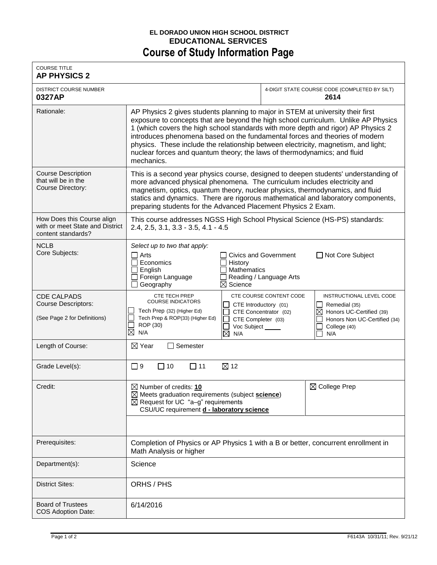## **EL DORADO UNION HIGH SCHOOL DISTRICT EDUCATIONAL SERVICES Course of Study Information Page**

| <b>COURSE TITLE</b><br><b>AP PHYSICS 2</b>                                          |                                                                                                                                                                                                                                                                                                                                                                                                                                                                                                                           |                                                                                                                                                                                                                       |
|-------------------------------------------------------------------------------------|---------------------------------------------------------------------------------------------------------------------------------------------------------------------------------------------------------------------------------------------------------------------------------------------------------------------------------------------------------------------------------------------------------------------------------------------------------------------------------------------------------------------------|-----------------------------------------------------------------------------------------------------------------------------------------------------------------------------------------------------------------------|
| <b>DISTRICT COURSE NUMBER</b><br>0327AP                                             |                                                                                                                                                                                                                                                                                                                                                                                                                                                                                                                           | 4-DIGIT STATE COURSE CODE (COMPLETED BY SILT)<br>2614                                                                                                                                                                 |
| Rationale:                                                                          | AP Physics 2 gives students planning to major in STEM at university their first<br>exposure to concepts that are beyond the high school curriculum. Unlike AP Physics<br>1 (which covers the high school standards with more depth and rigor) AP Physics 2<br>introduces phenomena based on the fundamental forces and theories of modern<br>physics. These include the relationship between electricity, magnetism, and light;<br>nuclear forces and quantum theory; the laws of thermodynamics; and fluid<br>mechanics. |                                                                                                                                                                                                                       |
| <b>Course Description</b><br>that will be in the<br>Course Directory:               | This is a second year physics course, designed to deepen students' understanding of<br>more advanced physical phenomena. The curriculum includes electricity and<br>magnetism, optics, quantum theory, nuclear physics, thermodynamics, and fluid<br>statics and dynamics. There are rigorous mathematical and laboratory components,<br>preparing students for the Advanced Placement Physics 2 Exam.                                                                                                                    |                                                                                                                                                                                                                       |
| How Does this Course align<br>with or meet State and District<br>content standards? | This course addresses NGSS High School Physical Science (HS-PS) standards:<br>$2.4, 2.5, 3.1, 3.3 - 3.5, 4.1 - 4.5$                                                                                                                                                                                                                                                                                                                                                                                                       |                                                                                                                                                                                                                       |
| <b>NCLB</b><br>Core Subjects:                                                       | Select up to two that apply:<br>$\Box$ Arts<br>Economics<br>History<br>English<br><b>Mathematics</b><br>□ Foreign Language<br>Geography<br>$\boxtimes$ Science                                                                                                                                                                                                                                                                                                                                                            | □ Not Core Subject<br><b>Civics and Government</b><br>Reading / Language Arts                                                                                                                                         |
| <b>CDE CALPADS</b><br><b>Course Descriptors:</b><br>(See Page 2 for Definitions)    | <b>CTE TECH PREP</b><br><b>COURSE INDICATORS</b><br>Tech Prep (32) (Higher Ed)<br>Tech Prep & ROP(33) (Higher Ed)<br>CTE Completer (03)<br>ROP (30)<br>Voc Subject _____<br>$\boxtimes$<br>N/A<br>⊠<br>N/A                                                                                                                                                                                                                                                                                                                | CTE COURSE CONTENT CODE<br>INSTRUCTIONAL LEVEL CODE<br>CTE Introductory (01)<br>Remedial (35)<br>$\boxtimes$ Honors UC-Certified (39)<br>CTE Concentrator (02)<br>Honors Non UC-Certified (34)<br>College (40)<br>N/A |
| Length of Course:                                                                   | Semester<br>⊠ Year                                                                                                                                                                                                                                                                                                                                                                                                                                                                                                        |                                                                                                                                                                                                                       |
| Grade Level(s):                                                                     | $\Box$ 9<br>⊠ 12<br>$\Box$ 10<br>$\square$ 11                                                                                                                                                                                                                                                                                                                                                                                                                                                                             |                                                                                                                                                                                                                       |
| Credit:                                                                             | $\boxtimes$ Number of credits: 10<br>$\boxtimes$ Meets graduation requirements (subject science)<br>$\boxtimes$ Request for UC "a-g" requirements<br>CSU/UC requirement <b>d - laboratory science</b>                                                                                                                                                                                                                                                                                                                     | $\boxtimes$ College Prep                                                                                                                                                                                              |
|                                                                                     |                                                                                                                                                                                                                                                                                                                                                                                                                                                                                                                           |                                                                                                                                                                                                                       |
| Prerequisites:                                                                      | Completion of Physics or AP Physics 1 with a B or better, concurrent enrollment in<br>Math Analysis or higher                                                                                                                                                                                                                                                                                                                                                                                                             |                                                                                                                                                                                                                       |
| Department(s):                                                                      | Science                                                                                                                                                                                                                                                                                                                                                                                                                                                                                                                   |                                                                                                                                                                                                                       |
| <b>District Sites:</b>                                                              | ORHS / PHS                                                                                                                                                                                                                                                                                                                                                                                                                                                                                                                |                                                                                                                                                                                                                       |
| <b>Board of Trustees</b><br><b>COS Adoption Date:</b>                               | 6/14/2016                                                                                                                                                                                                                                                                                                                                                                                                                                                                                                                 |                                                                                                                                                                                                                       |